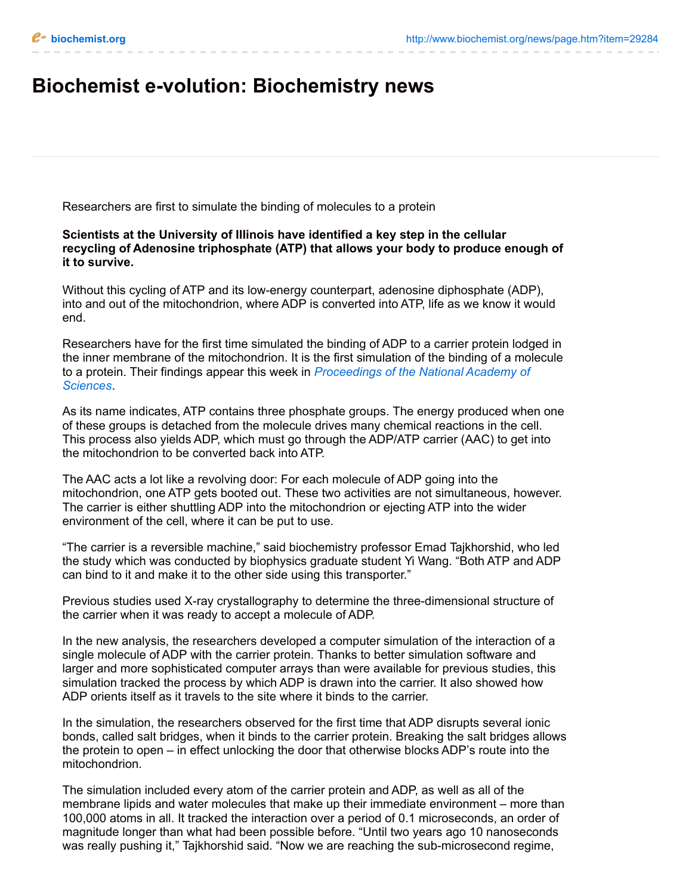## **Biochemist e-volution: Biochemistry news**

Researchers are first to simulate the binding of molecules to a protein

## **Scientists at the University of Illinois have identified a key step in the cellular recycling of Adenosine triphosphate (ATP) that allows your body to produce enough of it to survive.**

Without this cycling of ATP and its low-energy counterpart, adenosine diphosphate (ADP), into and out of the mitochondrion, where ADP is converted into ATP, life as we know it would end.

Researchers have for the first time simulated the binding of ADP to a carrier protein lodged in the inner membrane of the mitochondrion. It is the first simulation of the binding of a molecule to a protein. Their findings appear this week in *[Proceedings](http://www.pnas.org/) of the National Academy of Sciences*.

As its name indicates, ATP contains three phosphate groups. The energy produced when one of these groups is detached from the molecule drives many chemical reactions in the cell. This process also yields ADP, which must go through the ADP/ATP carrier (AAC) to get into the mitochondrion to be converted back into ATP.

The AAC acts a lot like a revolving door: For each molecule of ADP going into the mitochondrion, one ATP gets booted out. These two activities are not simultaneous, however. The carrier is either shuttling ADP into the mitochondrion or ejecting ATP into the wider environment of the cell, where it can be put to use.

"The carrier is a reversible machine," said biochemistry professor Emad Tajkhorshid, who led the study which was conducted by biophysics graduate student Yi Wang. "Both ATP and ADP can bind to it and make it to the other side using this transporter."

Previous studies used X-ray crystallography to determine the three-dimensional structure of the carrier when it was ready to accept a molecule of ADP.

In the new analysis, the researchers developed a computer simulation of the interaction of a single molecule of ADP with the carrier protein. Thanks to better simulation software and larger and more sophisticated computer arrays than were available for previous studies, this simulation tracked the process by which ADP is drawn into the carrier. It also showed how ADP orients itself as it travels to the site where it binds to the carrier.

In the simulation, the researchers observed for the first time that ADP disrupts several ionic bonds, called salt bridges, when it binds to the carrier protein. Breaking the salt bridges allows the protein to open – in effect unlocking the door that otherwise blocks ADP's route into the mitochondrion.

The simulation included every atom of the carrier protein and ADP, as well as all of the membrane lipids and water molecules that make up their immediate environment – more than 100,000 atoms in all. It tracked the interaction over a period of 0.1 microseconds, an order of magnitude longer than what had been possible before. "Until two years ago 10 nanoseconds was really pushing it," Tajkhorshid said. "Now we are reaching the sub-microsecond regime,